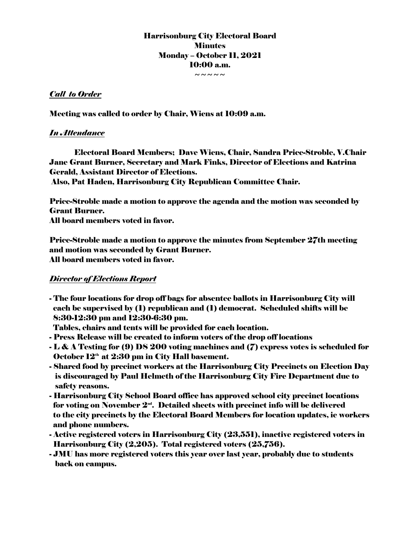Harrisonburg City Electoral Board **Minutes** Monday – October 11, 2021 10:00 a.m. ~~~~~

# *Call to Order*

Meeting was called to order by Chair, Wiens at 10:09 a.m.

# *In Attendance*

Electoral Board Members; Dave Wiens, Chair, Sandra Price-Stroble, V.Chair Jane Grant Burner, Secretary and Mark Finks, Director of Elections and Katrina Gerald, Assistant Director of Elections.

Also, Pat Haden, Harrisonburg City Republican Committee Chair.

Price-Stroble made a motion to approve the agenda and the motion was seconded by Grant Burner.

All board members voted in favor.

Price-Stroble made a motion to approve the minutes from September 27th meeting and motion was seconded by Grant Burner. All board members voted in favor.

# *Director of Elections Report*

- The four locations for drop off bags for absentee ballots in Harrisonburg City will each be supervised by (1) republican and (1) democrat. Scheduled shifts will be 8:30-12:30 pm and 12:30-6:30 pm.

Tables, chairs and tents will be provided for each location.

- Press Release will be created to inform voters of the drop off locations
- L & A Testing for (9) DS 200 voting machines and (7) express votes is scheduled for October  $12<sup>th</sup>$  at  $2:30$  pm in City Hall basement.
- Shared food by precinct workers at the Harrisonburg City Precincts on Election Day is discouraged by Paul Helmeth of the Harrisonburg City Fire Department due to safety reasons.
- Harrisonburg City School Board office has approved school city precinct locations for voting on November  $2<sup>nd</sup>$ . Detailed sheets with precinct info will be delivered to the city precincts by the Electoral Board Members for location updates, ie workers and phone numbers.
- Active registered voters in Harrisonburg City (23,551), inactive registered voters in Harrisonburg City (2,205). Total registered voters (25,756).
- JMU has more registered voters this year over last year, probably due to students back on campus.